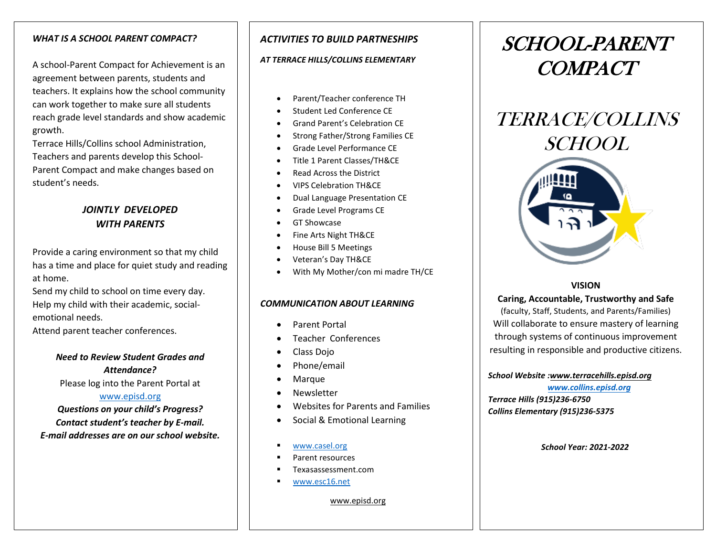### *WHAT IS A SCHOOL PARENT COMPACT?*

A school-Parent Compact for Achievement is an agreement between parents, students and teachers. It explains how the school community can work together to make sure all students reach grade level standards and show academic growth.

Terrace Hills/Collins school Administration, Teachers and parents develop this School-Parent Compact and make changes based on student's needs.

### *JOINTLY DEVELOPED WITH PARENTS*

Provide a caring environment so that my child has a time and place for quiet study and reading at home.

Send my child to school on time every day. Help my child with their academic, socialemotional needs.

Attend parent teacher conferences.

### *Need to Review Student Grades and Attendance?* Please log into the Parent Portal at [www.episd.org](http://www.episd.org/)

*Questions on your child's Progress? Contact student's teacher by E-mail. E-mail addresses are on our school website.*

### *ACTIVITIES TO BUILD PARTNESHIPS*

#### *AT TERRACE HILLS/COLLINS ELEMENTARY*

- Parent/Teacher conference TH
- Student Led Conference CE
- Grand Parent's Celebration CE
- Strong Father/Strong Families CE
- Grade Level Performance CE
- Title 1 Parent Classes/TH&CE
- Read Across the District
- VIPS Celebration TH&CE
- Dual Language Presentation CE
- Grade Level Programs CE
- GT Showcase
- Fine Arts Night TH&CE
- House Bill 5 Meetings
- Veteran's Day TH&CE
- With My Mother/con mi madre TH/CE

#### *COMMUNICATION ABOUT LEARNING*

- Parent Portal
- Teacher Conferences
- Class Dojo
- Phone/email
- Marque
- Newsletter
- Websites for Parents and Families
- Social & Emotional Learning
- [www.casel.org](http://www.casel.org/)
- Parent resources
- Texasassessment.com
- [www.esc16.net](http://www.esc16.net/)

www.episd.org

# SCHOOL-PARENT COMPACT





### **VISION**

**Caring, Accountable, Trustworthy and Safe**

(faculty, Staff, Students, and Parents/Families) Will collaborate to ensure mastery of learning through systems of continuous improvement resulting in responsible and productive citizens.

#### *School Website :www.terracehills.episd.org*

 *[www.collins.episd.org](http://www.collins.episd.org/) Terrace Hills (915)236-6750 Collins Elementary (915)236-5375* 

*School Year: 2021-2022*